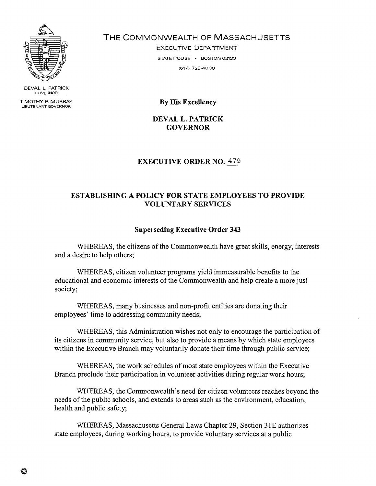

**DEVAL L. PATRICK GOVERNOR** 

**TIMOTHY P. MURRAY** 

THE COMMONWEALTH OF MASSACHUSETTS

EXECUTIVE DEPARTMENT **STATE HOUSE · BOSTON 02133 (617) 725-4000** 

**By His Excellency** 

**DEVAL L. PATRICK GOVERNOR** 

## **EXECUTIVE ORDER NO.** 479

## **ESTABLISHING A POLICY FOR STATE EMPLOYEES TO PROVIDE VOLUNTARY SERVICES**

## **Superseding Executive Order 343**

WHEREAS, the citizens of the Commonwealth have great skills, energy, interests and a desire to help others;

WHEREAS, citizen volunteer programs yield immeasurable benefits to the educational and economic interests of the Commonwealth and help create a more just society;

WHEREAS, many businesses and non-profit entities are donating their employees' time to addressing community needs;

WHEREAS, this Administration wishes not only to encourage the participation of its citizens in community service, but also to provide a means by which state employees within the Executive Branch may voluntarily donate their time through public service;

WHEREAS, the work schedules of most state employees within the Executive Branch preclude their participation in volunteer activities during regular work hours;

WHEREAS, the Commonwealth's need for citizen volunteers reaches beyond the needs of the public schools, and extends to areas such as the environment, education, health and public safety;

WHEREAS, Massachusetts General Laws Chapter 29, Section 3 1E authorizes state employees, during working hours, to provide voluntary services at a public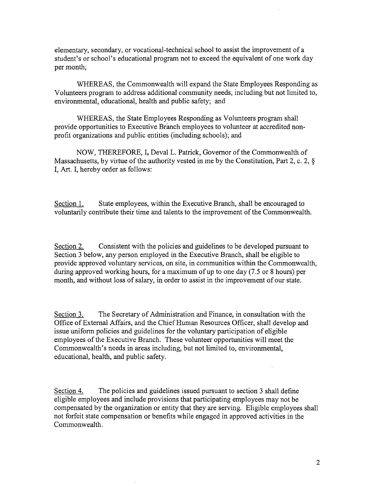elementary, secondary, or vocational-technical school to assist the improvement of a student's or school's educational program not to exceed the equivalent of one work day per month;

WHEREAS, the Commonwealth will expand the State Employees Responding as Volunteers program to address additional community needs, including but not limited to, environmental, educational, health and public safety; and

WHEREAS, the State Employees Responding as Volunteers program shall provide opportunities to Executive Branch employees to volunteer at accredited nonprofit organizations and public entities (including schools); and

NOW, THEREFORE, I, Deval L. Patrick, Governor of the Commonwealth of Massachusetts, by virtue of the authority vested in me by the Constitution, Part 2, c. 2, *5*  I, Art. I, hereby order as follows:

Section 1. State employees, within the Executive Branch, shall be encouraged to voluntarily contribute their time and talents to the improvement of the Commonwealth.

Section 2. Consistent with the policies and guidelines to be developed pursuant to Section 3 below, any person employed in the Executive Branch, shall be eligible to provide approved voluntary services, on site, in communities within the Commonwealth, during approved working hours, for a maximum of up to one day *(7.5* or 8 hours) per month, and without loss of salary, in order to assist in the improvement of our state.

Section 3. The Secretary of Administration and Finance, in consultation with the Office of External Affairs, and the Chief Human Resources Officer, shall develop and issue uniform policies and guidelines for the voluntary participation of eligible employees of the Executive Branch. These volunteer opportunities will meet the Commonwealth's needs in areas including, but not limited to, environmental, educational, health, and public safety.

Section 4. The policies and guidelines issued pursuant to section 3 shall define eligible employees and include provisions that participating employees may not be compensated by the organization or entity that they are serving. Eligible employees shall not forfeit state compensation or benefits while engaged in approved activities in the Commonwealth.